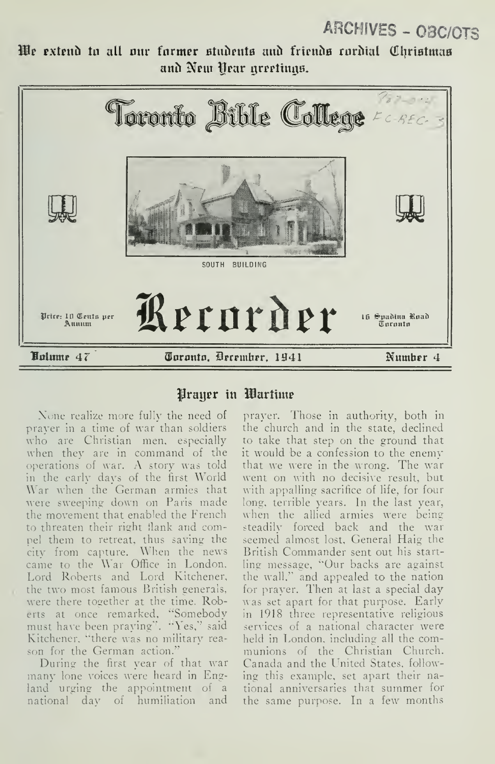# ARCHIVES - 08C/0TS

We extend to all our former students and friends cordial Christmas and New Year greetings.



## Prayer in Wartime

Xone realize more fully the need of prayer in a time of war than soldiers who are Christian men, especially when they are in command of the operations of war. A story was told in the early days of the first World War when the German armies that were sweeping down on Paris made the movement that enabled the French to threaten their right flank and compel them to retreat, thus saving the city from capture. When the news came to the War Office in London. Lord Roberts and Lord Kitchener, the two most famous British generals, were there together at the time. Roberts at once remarked, "Somebody must have been praying''. "Yes," said Kitchener, ''there was no military rea son for the German action."

During the first year of that war many lone voices were heard in England urging the appointment of a national day of humiliation and

prayer. Those in authority, both in the church and in the state, declined to take that step on the ground that it would be a confession to the enemy that we were in the wrong. The war went on with no decisive result, but with appalling sacrifice of life, for four long, terrible years. In the last year, when the allied armies were being steadily forced back and the war seemed almost lost, General Haig the British Commander sent out his start ling message, "Our backs are against the wall," and appealed to the nation for prayer. Then at last a special day was set apart for that purpose. Early in 1918 three representative religious services of a national character were held in London, including all the communions of the Christian Church. Canada and the United States, follow ing this example, set apart their national anniversaries that summer for the same purpose. In <sup>a</sup> few months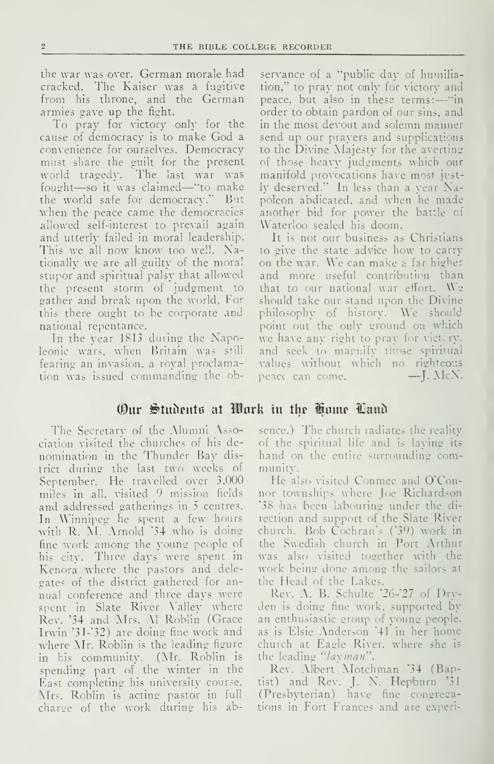the war was over. German morale had cracked. The Kaiser was <sup>a</sup> fugitive from his throne, and the German armies gave up the fight.

To pray for victory only for the cause of democracy is to make God <sup>a</sup>convenience for ourselves. Democracy must share the guilt for the present world tragedy. The last war was fought—so it was claimed—"to make the world safe for democracy." But when the peace came the democracies allowed self-interest to prevail again and utterly failed in moral leadership. This we all now know too we!!. Nationally we are all guilty of the moral stupor and spiritual palsy that allowed the present storm of judgment to gather and break upon the world. For this there ought to be corporate and national repentance.

In the year 1813 during the Napoleonic wars, when Britain was still fearing an invasion, a royal proclamation was issued commanding the ob-

servance of a "public day of humiliation," to pray not only for victory and peace, but also in these terms:--"in order to obtain pardon of our sins, and in the most devout and solemn manner send up our prayers and supplications to the Divine Majesty for the averting of those heavy judgments which our manifold provocations have most justly deserved." In less than a year Napoleon abdicated, and when he made another bid for power the battle of Waterloo sealed his doom.

It is not our business as Christians to give the state advice how to carry on the war. We can make a far higher and more useful contribution than that to our national war effort.  $W_2$ should take our stand upon the Divine philosophy of history. We should point out the only ground on which we have any right to pray for victory. and seek to magnify ihose spiritual values without which no riehteous peace can come.  $\qquad \qquad \qquad \qquad -I.$  McN.

## Our  $\mathfrak{H}$ udents at Work in the  $\mathfrak{g}_{0}$ nne Land

The Secretary of the Alumni Association visited the churches of his denomination in the Thunder Bay district during the last two weeks of September. He travelled over 3,000 miles in all, visited 9 mission fields and addressed gatherings in <sup>5</sup> centres. In Winnipeg he spent a few hours with R. M. Arnold '34 who is doing fine work among the young people of his city. Three days were spent in Kenora where the pastors and dele gates of the district gathered for an nua! conference and three days were spent in Slate River Vallev where Rev. '34 and Mrs. Al Roblin (Grace Irwin '31-'32) are doing fine work and where Mr. Roblin is the leading figure in his community. (Mr. Roblin is spending part of the winter in the East completing his university course. Mrs. Roblin is acting pastor in full charee of the work during his absence.) The church radiates the reality of the spiritual life and is laying its hand on the entire surrounding community.

He also visited Conmee and O'Connor townships where Joe Richardson '38 has been labouring under the direction and support of the Slate River church. Bob Cochran's ('39) work in the Swedish church in Port Arthur was also visited together with the work being done among the sailors at the Head of the Lakes.

Rev. A. B. Schulte '26-'27 of Dryden is doing fine work, supported by an enthusiastic group of young people, as is Elsie Anderson '41 in her home church at Eagle River, where she is the leading "layman".

Rev. Albert Motchman '34 (Baptist) and Rev. J. N. Hepburn '31 (Presbyterian) have fine congregations in Fort Frances and are experi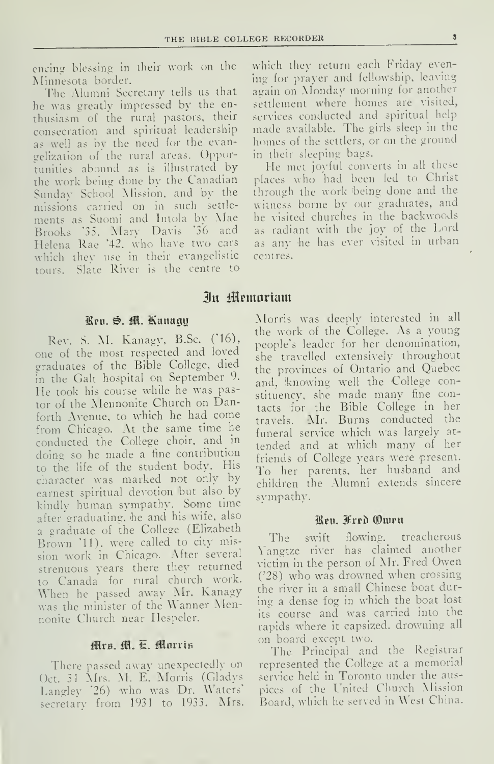encing blessing in their work on the Minnesota border.

The Alumni Secretary tells us that he was greatly impressed by the en thusiasm of the rural pastors, their consecration and spiritual leadership as well as by the need for the evangelization of the rural areas. Opportunities abound as is illustrated by the work being done by the Canadian Sunday School Mission, and by the missions carried on in such settlements as Suomi and Intola by Mae Brooks "35, Mary Davis '36 and Helena Rae '42. who have two cars which they use in their evangelistic tours. Slate River is the centre to which they return each Friday evening for prayer and fellowship, leaving again on Monday morning for another settlement where homes are visited, services conducted and spiritual help made available. The girls sleep in the homes of the settlers, or on the ground in their sleeping bags.

He met joyful converts in all these places who had been led to Christ through the work being done and the witness borne by our graduates, and he visited churches in the backwoods as radiant with the joy of the Lord as any he has ever visited in urban centres.

### In **Hemoriam**

#### Kru. S. M. Kanagu

Rev. S. M. Kanagy, B.Sc. ('16), one of the most respected and loved graduates of the Bible College, died in the Galt hospital on September 9. He took his course while he was pastor of the Mennonite Church on Danforth Avenue, to which he had come from Chicago. At the same time he conducted the College choir, and in doing so he made a fine contribution to the life of the student body. His character was marked not only by earnest spiritual devotion but also by kindly human sympathy. Some time after graduating, he and his wife, also <sup>a</sup> graduate of the College (Elizabeth Brown '11), were called to city mission work in Chicago. After several strenuous years there they returned to Canada for rural church work. When he passed away Mr. Kanagy was the minister of the Wanner Mennonite Church near Hespeler.

#### Hrs. H. E. Morris

There passed awav unexpectedlv on Oct. <sup>31</sup> Mrs. M. E'. Morris (Gladys Langley '26) who was Dr. Waters' secretary from 1931 to 1933. Mrs. Morris was deeply interested in all the work of the College. As <sup>a</sup> young people's leader for her denomination, she travelled extensively throughout the provinces of Ontario and Quebec and, 'knowing well the College constituency, she made many fine contacts for the Bible College in her travels. Mr. Burns conducted the funeral service which was largely attended and at which many of her friends of College years were present. To her parents, her husband and children the Alumni extends sincere sympathy.

#### iRpu. ifrth ©uipti

The swift flowing, treacherous Yangtze river has claimed another victim in the person of Mr. Fred Owen ('28) who was drowned when crossing the river in a small Chinese boat during a dense fog in which the boat lost its course and was carried into the rapids where it capsized, drowning all on board except two.

The Principal and the Registrar represented the College at <sup>a</sup> memorial service held in Toronto under the auspices of the United Church Mission Board, which he served in West China.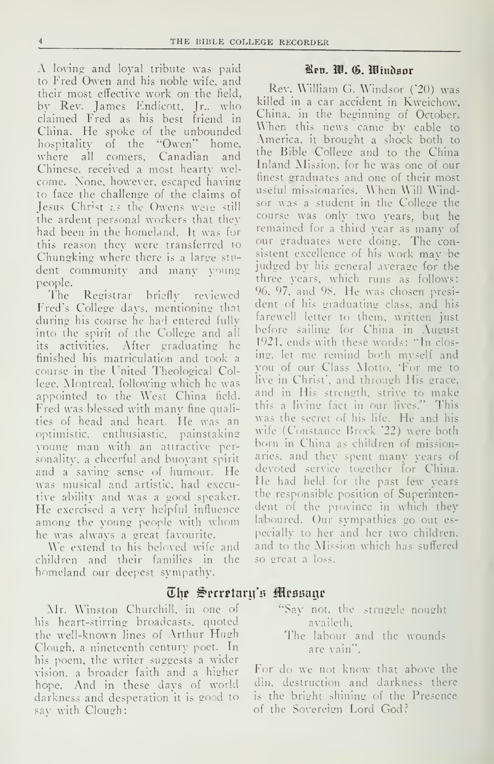A loving and loyal tribute was paid to Fred Owen and his noble wife, and their most effective work on the field, by Rev. James Endicott, Jr.. who hill claimed Fred as his best friend in China. He spoke of the unbounded hospitality of the "Owen" home, where all comers, Canadian and Chinese, received a most hearty wel come. None, however, escaped having to face the challenge of the claims of Lesus Christ  $i$  as the Owens weights still the ardent personal workers that they had been in the homeland. It was for this reason they were transferred to Chungking where there is a large stu dent community and many young people.

The Registrar briefly reviewed Fred's College days, mentioning that during his course he had entered fully into the spirit of the College and all its activities. After graduating he finished his matriculation and took a course in the United Theological College, Montreal, following which he was appointed to the West China field. Fred was blessed with many fine qualities of head and heart. He was an optimistic, enthusiastic, painstaking young man with an attractive personality, a cheerful and buoyant spirit and <sup>a</sup> saving sense of humour. He was musical and artistic, had executive ability and was <sup>a</sup> good speaker. He exercised <sup>a</sup> very helpful influence among the young people with whom<br>he was always a great favourite.

We extend to his beloved wife and children and their families in the homeland our deepest sympathy.

Mr. Winston Churchill, in one of his heart-stirring broadcasts, quoted the well-known lines of Arthur Hugh Clough, a nineteenth century poet. In his poem, the writer suggests a wider vision, a broader faith and a higher hope. And in these days of world darkness and desperation it is good to sav with Clough:

#### Ben. W. G. Windsor

Rev. William G. Windsor ('20) was killed in a car accident in Kweichow, China, in the beginning of October. When this news came by cable to America, it brought a shock both to the Bible College and to the China Inland Mission, for he was one of our finest graduates and one of their most useful missionaries. When Will Windsor was a student in the College the course was only two years, but he remained for <sup>a</sup> third year as many of our graduates were doing. The consistent excellence of his work may be judged by his general average for the three years, which runs as follows: 96, 97, and 98. He was chosen president of his graduating class, and his farewell letter to them, written just before sailiny for China in August 1921, ends with these words: "In closing, let me remind both myself and you of our Class Motto, 'For me to live in Christ', and through His grace, and in His strength, strive to make this a living fact in our lives." This was the secret of his life. He and his wife (Constance Brock '22) were both born in China as children of missionaries, and they spent many years of devoted service together for China. He had held for the past few years the responsible position of Superintendent of the prox'ince in which they laboured. Our sympathies go out es pecially to her and her two children, and to the Mission which has suffered so great a loss.

- (L\)t ^rrrptarii'fl HJcBaagr
	- "Say not. the struggle nought availeth.
		- The labour and the wounds are vain".

For do we not know that above the din, destruction and darkness there is the bright shining of the Presence of the Sovereign Lord God?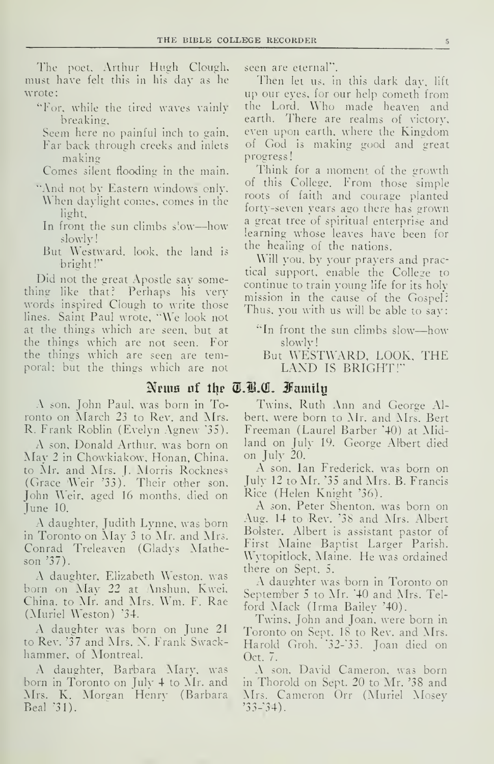The poet, Arthur Hugh Clough, must have felt this in his day as he wrote

- "For, while the tired waves vainly breaking.
	- Seem here no painfid inch to gain. Far back through creeks and inlets making
	- Comes silent flooding in the main.
- "And not by Eastern windows only, When daylight comes, comes in the light.
	- In front the sun climbs s'ow—how slowly
	- But Westward, look, the land is bright!"

Did not the great Apostle say something like that? Perhaps his very words inspired Clough to write those lines. Saint Paul wrote, "We look not at the things which are seen, but at the things which are not seen. For the things which are seen are temporal: but the things which are not

A son, John Paul, was born In Toronto on March 23 to Rev. and Mrs. R. Frank Roblin (Evelyn Agnew "35).

A son, Donald Arthur, was born on land on July 20.<br>May 2 in Chowkiakow, Honan, China, on July 20. to Mr. and Mrs. J. Morris Rockness (Grace 'Weir '33). Their other son, John Weir, aged 16 months, died on June 10.

A daughter, Judith Lynne, was born in Toronto on May <sup>3</sup> to Mr. and Mrs. Conrad Treleaven (Gladvs Matheson '37).

A daughter, Elizabeth Weston, was born on May <sup>22</sup> at Anshun, Kwei, China, to Mr. and Mrs. \\m. F. Rae (Aluriel Weston) '34.

A daughter was born on June <sup>21</sup> to Rev. '37 and Mrs. N. Frank Swackhammer. of Montreal.

A daughter, Barbara Mary, was born in Toronto on July 4 to Mr. and Mrs. K. Morean Henrv (Barbara Beal "31).

seen are eternal".

Then let us, in this dark day, lift up our eyes, for our help cometh from the Lord, Who made heaven and earth. There are realms of victory. even upon earth, where the Kingdom of God is making good and great progress!

Think for <sup>a</sup> moment of the growth of this College. From those simple roots of faith and courage planted forty-seven years ago there has grown a great tree of spiritual enterprise and learning whose leaves have been for the healing of the nations.

Will you, by your prayers and practical support, enable the College to continue to train young life for its holy mission in the cause of the Gospel: Thus, you with us will be able to say:

"In front the sun climbs slow—how slowly

But WESTWARD, LOOK, THE LAND IS BRIGHT!""

## Nems of the  $\overline{\mathbb{Q}}$ .  $\overline{\mathbb{Q}}$ . Family

Twins, Ruth Ann and George Albert, were born to Mr. and Mrs. Bert Freeman (Laurel Barber '40) at Midland on July 19. George Albert died

A son, Ian Frederick, was born on July 12 to Mr. '35 and Mrs. B. Francis Rice (Helen Knight '36).

A son, Peter Shenton, was born on Aug. 14 to Rev. '38 and Mrs. Albert Bolster. Albert is assistant pastor of First Maine Baptist Larger Parish, \\VtopitIock, Maine. He was ordained there on Sept. 5.

A daughter was born in Toronto on September <sup>5</sup> to Mr. '40 and Mrs. Telford Mack (Irma Bailey '40).

Twins, John and Joan, were born in Toronto on Sept. 18 to Rev. and Mrs. Harold Groh, '32-"33. Joan died on Oct. 7.

A son, David Cameron, was born in Thorold on Sept. 20 to Mr. '38 and Mrs. Cameron Orr (Muriel Mosev  $33 - 34$ .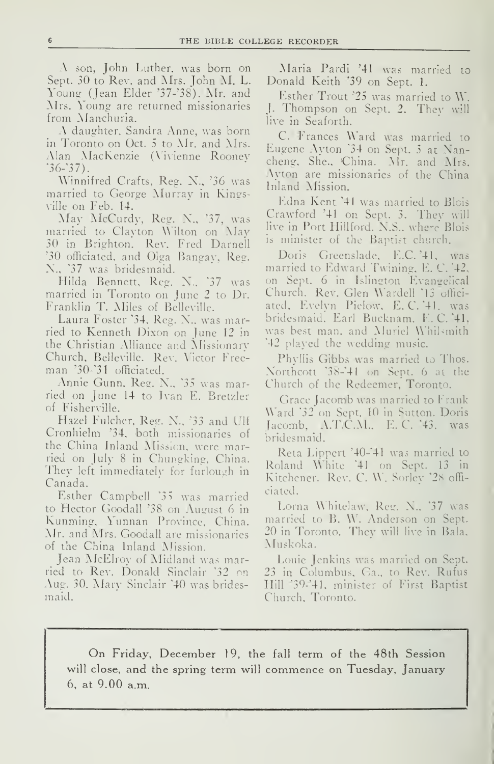A son, John Luther, was born on Sept. 30 to Rev. and Mrs. John M. L. Young (Jean Elder '37-'38). Mr. and Mrs. Young are returned missionaries from Manchuria.

 $\Lambda$  daughter, Sandra Anne, was born in Toronto on Oct. <sup>5</sup> to Mr. and Mrs. Alan MacKenzie (Vivienne Roonev  $36-37$ ).

Winnifred Crafts, Reg. N., '36 was married to George Murray in Kings-

May McCurdy, Reg. N., '37, was married to Clayton Wilton on May 30 in Brighton. Rev. Fred Darnell '30 officiated, and Olga Bangay, Reg. N., '37 was bridesmaid.

Hilda Bennett, Reg. X., '37 was married in Toronto on June 2 to Dr. Franklin T. Miles of Belleville.

Laura Foster '34, Reg. X.. was married to Kenneth Dixon on June 12 in the Christian Alliance and Missionary Church, Belleville. Rev. Victor Free man '30-'31 officiated.

Annie Gunn, Reg. N., '35 was married on June 14 to Ivan E. Bretzler of Fisherville.

Hazel Fulcher, Reg. N., '33 and Ulf Cronhielm '34, both missionaries of the China Inland Mission, were married on July 8 in Chungking, China. They left immediately for furlough in Canada.

Esther Campbell '35 was married to Hector Goodall '38 on August 6 in Kunming, Yunnan Province, China. Mr. and Mrs. Goodall are missionaries of the China Inland Mission.

Jean McElroy of Midland was married to Re^'. Donald Sinclair '32 on Aug. 30. Alary Sinclair "40 was bridesmaid.

Maria Pardi '41 was married to Donald Keith '39 on Sept. L

Esther Trout '25 was married to W. J. Thompson on Sept. 2. They will live in Seaforth.

C. Frances Ward was married to Eugene Ayton '34 on Sept. <sup>3</sup> at Xancheng. She., China. Mr. and Mrs. Ayton are missionaries of the China Inland Mission,

Edna Kent '41 was married to Blcis Crawford '41 on Sept. 3. They will live in Port Hillford. N.S., where Blois is minister of the Baptist church.

Doris Greenslade, E.C. '41, was married to Edward Twining, E. C. \*42, on Sept. 6 in Islington Evangelical Church. Rev. Glen Wardell '13 offici ated, Evelyn Pielow, E.C. '41, was bridesmaid. Earl Bucknam, E. C. '41, was best man, and Muriel Whilsmith '42 played the wedding music.

Phyllis Gibbs was married to Thos. Xorthcott '38-'41 on Sept. 6 at the Church of the Redeemer, Toronto.

Grace Jacomb was married to Frank \\'ard '32 on Sept. 10 in Sutton. Doris Jacomb,  $\Lambda$ .T.C.M., E.C. 43. was bridesmaid.

Reta Lippert '40-'41 was married to Roland White '41 on Sept. 13 in Kitchener. Rev. C. W. Sorley '28 officiated.

Lorna Whitelaw, Reg. N., '37 was married to B. W. Anderson on Sept. 20 in Toronto. They will live in Bala, Muskoka.

Louie Jenkins was married on Sept. 23 in Columbus, Ga., to Rev. Rufus Hill '39-'41, minister of First Baptist Church, Toronto.

On Friday, December 19, the fall term of the 48th Session will close, and the spring term will commence on Tuesday, January 6, at  $9.00$  a.m.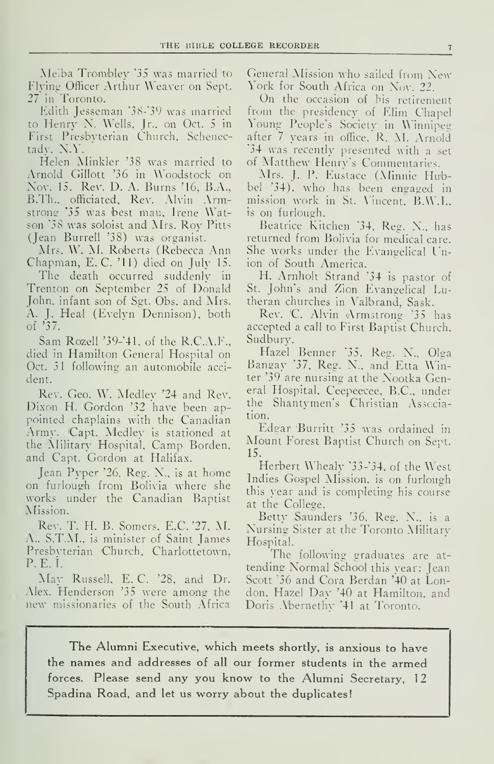Meiba Tiomibley '35 was married to Flying Officer Arthur Weaver on Sept. 27 in Toronto.

Edith Jesseman '38-'39 was married to Henry N. Wells, Jr., on Oct. 5 in First Presbyterian Church, Schenectady. X.Y.

Helen Alinkler '38 was married to Arnold Gillott '36 in \\'oodstock on Nov. 15. Rev. D. A. Bums '16, B.A., B.Th.. officiated. Rev. Alvin Armstrong '35 was best man, Irene Watson '38 was soloist and Mrs. Roy Pitts (Jean Burrell '38) was organist.

Mrs. W. M. Roberts (Rebecca Ann Chapman, E. C. '11) died on July 15.

The death occurred suddenly in Trenton on September 25 of Donald John, infant son of Sgt. Obs. and Mrs. A. J. Heal (Evelvn Dennison), both of  $\dot{3}7$ .

Sam Rozell '39-'41, of the R.C.A.F., died m Hamilton General Hospital on Oct. 31 following an automobile accident.

Rev. Geo. W. Medley '24 and Rev. Dixon H. Gordon '32 have been appointed chaplains with the Canadian Army. Capt. Medley is stationed at the Military Hospital, Camp Borden, and Capt. Gordon at Halifax.

Jean Pyper '26, Reg. N., is at home on furlough from Bolivia where she works under the Canadian Baptist Mission.

Rev. T. H. B. Somers, E.C. '27, M. A., S.T.M.. is minister of Saint James Presbvterian Church, Charlottetown, P. E. i.

May Russell, E.C. '28, and Dr. Alex. Henderson '35 were among the new missionaries of the South Africa

General Mission who sailed from Xew York for South Africa on Nov. 22.

On the occasion of his retirement from the presidency of Elim Chapel Young People's Society in Winnipeg after 7 years in office, R. M. Arnold '34 was recently presented with <sup>a</sup> set of Matthew Henry's Commentaries.

Mrs. J. P. Eustace (Minnie Hu'bbel '34), who has been engaged in mission work in St. Vincent. B.W.L. is on furlough.

Beatrice Kitchen '34, Reg. N., has returned from Bolivia for medical care. She works under the Evangelical Union of South America.

H. Arnholt Strand '34 is pastor of St. John's and Zion Evangelical Lutheran churches in Vallbrand, Sask.

Rev. 'C. Alvin Armstrong '35 has accepted a call to First Baptist Church, Sudbury.

Hazel Benner '35, Reg. N., Olga Bangay '37, Reg. N., and Etta Winter '39 are nursing at the Nootka General Hospital, Ceepeecee, B.C., under the Shantymen's Christian Association.

Edgar Burritt '35 was ordained in Mount Forest Baptist Church on Sept. 15.

Herbert \Miealy '33-'34, of the West Indies Gospel Mission, is on furlough this year and is completing his course at the College.

Betty Saunders '36, Reg. N., is a Nursing Sister at the Toronto Military Hospital.

The following graduates are at tending Normal School this year: Jean Scott '36 and Cora Berdan '40 at London, Hazel Day '40 at Hamilton, and Doris Abernethy '41 at Toronto.

The Alumni Executive, which meets shortly, is anxious to have the names and addresses of all our former students in the armed forces. Please send any you know to the Alumni Secretary, 12 Spadina Road, and let us worry about the duplicates!